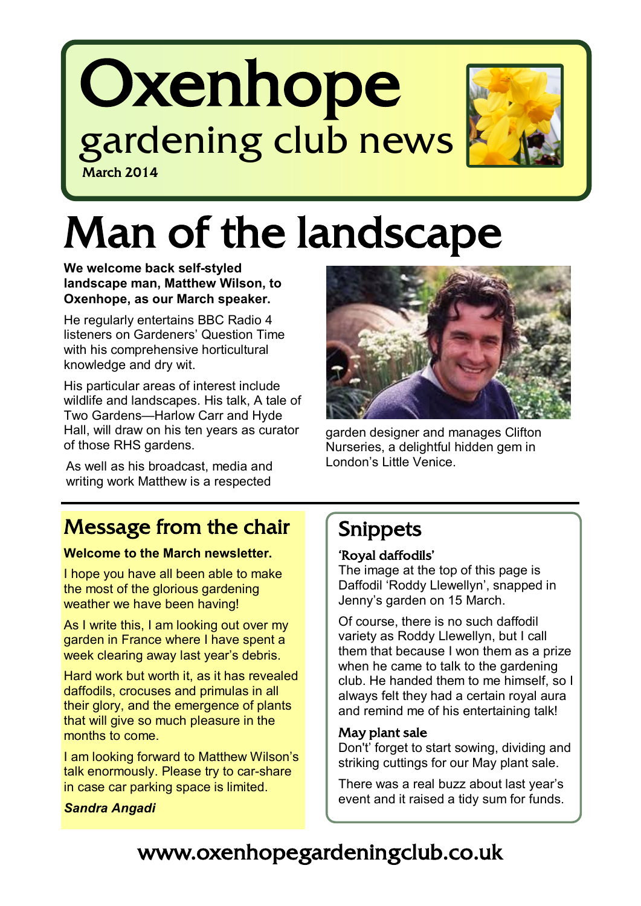# **Oxenhope** gardening club news March 2014



# Man of the landscape

**We welcome back self-styled landscape man, Matthew Wilson, to Oxenhope, as our March speaker.** 

He regularly entertains BBC Radio 4 listeners on Gardeners' Question Time with his comprehensive horticultural knowledge and dry wit.

His particular areas of interest include wildlife and landscapes. His talk, A tale of Two Gardens—Harlow Carr and Hyde Hall, will draw on his ten years as curator of those RHS gardens.

As well as his broadcast, media and writing work Matthew is a respected



garden designer and manages Clifton Nurseries, a delightful hidden gem in London's Little Venice.

# Message from the chair

#### **Welcome to the March newsletter.**

I hope you have all been able to make the most of the glorious gardening weather we have been having!

As I write this, I am looking out over my garden in France where I have spent a week clearing away last year's debris.

Hard work but worth it, as it has revealed daffodils, crocuses and primulas in all their glory, and the emergence of plants that will give so much pleasure in the months to come.

I am looking forward to Matthew Wilson's talk enormously. Please try to car-share in case car parking space is limited.

#### *Sandra Angadi*

### Snippets

### 'Royal daffodils'

The image at the top of this page is Daffodil 'Roddy Llewellyn', snapped in Jenny's garden on 15 March.

Of course, there is no such daffodil variety as Roddy Llewellyn, but I call them that because I won them as a prize when he came to talk to the gardening club. He handed them to me himself, so I always felt they had a certain royal aura and remind me of his entertaining talk!

### May plant sale

Don't' forget to start sowing, dividing and striking cuttings for our May plant sale.

There was a real buzz about last year's event and it raised a tidy sum for funds.

# www.oxenhopegardeningclub.co.uk